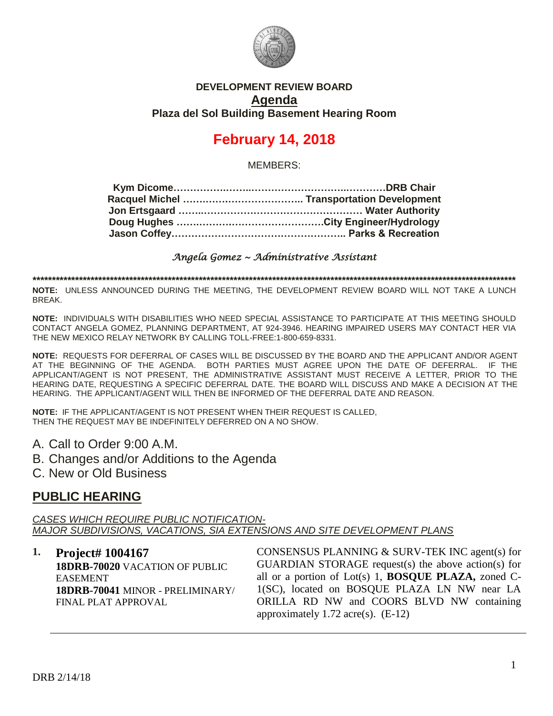

### **DEVELOPMENT REVIEW BOARD Agenda Plaza del Sol Building Basement Hearing Room**

# **February 14, 2018**

MEMBERS:

*Angela Gomez ~ Administrative Assistant* 

**\*\*\*\*\*\*\*\*\*\*\*\*\*\*\*\*\*\*\*\*\*\*\*\*\*\*\*\*\*\*\*\*\*\*\*\*\*\*\*\*\*\*\*\*\*\*\*\*\*\*\*\*\*\*\*\*\*\*\*\*\*\*\*\*\*\*\*\*\*\*\*\*\*\*\*\*\*\*\*\*\*\*\*\*\*\*\*\*\*\*\*\*\*\*\*\*\*\*\*\*\*\*\*\*\*\*\*\*\*\*\*\*\*\*\*\*\*\*\*\*\*\*\*\*\***

**NOTE:** UNLESS ANNOUNCED DURING THE MEETING, THE DEVELOPMENT REVIEW BOARD WILL NOT TAKE A LUNCH BREAK.

**NOTE:** INDIVIDUALS WITH DISABILITIES WHO NEED SPECIAL ASSISTANCE TO PARTICIPATE AT THIS MEETING SHOULD CONTACT ANGELA GOMEZ, PLANNING DEPARTMENT, AT 924-3946. HEARING IMPAIRED USERS MAY CONTACT HER VIA THE NEW MEXICO RELAY NETWORK BY CALLING TOLL-FREE:1-800-659-8331.

**NOTE:** REQUESTS FOR DEFERRAL OF CASES WILL BE DISCUSSED BY THE BOARD AND THE APPLICANT AND/OR AGENT AT THE BEGINNING OF THE AGENDA. BOTH PARTIES MUST AGREE UPON THE DATE OF DEFERRAL. IF THE APPLICANT/AGENT IS NOT PRESENT, THE ADMINISTRATIVE ASSISTANT MUST RECEIVE A LETTER, PRIOR TO THE HEARING DATE, REQUESTING A SPECIFIC DEFERRAL DATE. THE BOARD WILL DISCUSS AND MAKE A DECISION AT THE HEARING. THE APPLICANT/AGENT WILL THEN BE INFORMED OF THE DEFERRAL DATE AND REASON.

**NOTE:** IF THE APPLICANT/AGENT IS NOT PRESENT WHEN THEIR REQUEST IS CALLED, THEN THE REQUEST MAY BE INDEFINITELY DEFERRED ON A NO SHOW.

A. Call to Order 9:00 A.M.

B. Changes and/or Additions to the Agenda

C. New or Old Business

### **PUBLIC HEARING**

*CASES WHICH REQUIRE PUBLIC NOTIFICATION-MAJOR SUBDIVISIONS, VACATIONS, SIA EXTENSIONS AND SITE DEVELOPMENT PLANS*

#### **1. Project# 1004167 18DRB-70020** VACATION OF PUBLIC EASEMENT **18DRB-70041** MINOR - PRELIMINARY/ FINAL PLAT APPROVAL CONSENSUS PLANNING & SURV-TEK INC agent(s) for GUARDIAN STORAGE request(s) the above action(s) for all or a portion of Lot(s) 1, **BOSQUE PLAZA,** zoned C-1(SC), located on BOSQUE PLAZA LN NW near LA ORILLA RD NW and COORS BLVD NW containing approximately 1.72 acre(s). (E-12)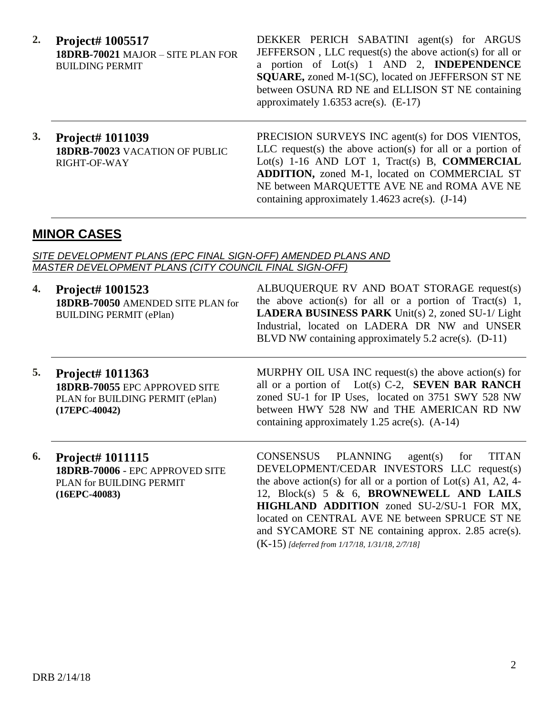**2. Project# 1005517 18DRB-70021** MAJOR – SITE PLAN FOR BUILDING PERMIT

DEKKER PERICH SABATINI agent(s) for ARGUS JEFFERSON , LLC request(s) the above action(s) for all or a portion of Lot(s) 1 AND 2, **INDEPENDENCE SQUARE,** zoned M-1(SC), located on JEFFERSON ST NE between OSUNA RD NE and ELLISON ST NE containing approximately  $1.6353$  acre(s). (E-17)

**3. Project# 1011039 18DRB-70023** VACATION OF PUBLIC RIGHT-OF-WAY

PRECISION SURVEYS INC agent(s) for DOS VIENTOS, LLC request(s) the above action(s) for all or a portion of Lot(s) 1-16 AND LOT 1, Tract(s) B, **COMMERCIAL ADDITION,** zoned M-1, located on COMMERCIAL ST NE between MARQUETTE AVE NE and ROMA AVE NE containing approximately  $1.4623$  acre(s).  $(J-14)$ 

## **MINOR CASES**

*SITE DEVELOPMENT PLANS (EPC FINAL SIGN-OFF) AMENDED PLANS AND MASTER DEVELOPMENT PLANS (CITY COUNCIL FINAL SIGN-OFF)*

| 4. | Project# 1001523<br>18DRB-70050 AMENDED SITE PLAN for<br><b>BUILDING PERMIT (ePlan)</b>                   | ALBUQUERQUE RV AND BOAT STORAGE request(s)<br>the above action(s) for all or a portion of Tract(s) 1,<br><b>LADERA BUSINESS PARK</b> Unit(s) 2, zoned SU-1/ Light<br>Industrial, located on LADERA DR NW and UNSER<br>BLVD NW containing approximately $5.2$ acre(s). (D-11)                                                                                           |
|----|-----------------------------------------------------------------------------------------------------------|------------------------------------------------------------------------------------------------------------------------------------------------------------------------------------------------------------------------------------------------------------------------------------------------------------------------------------------------------------------------|
| 5. | Project# 1011363<br>18DRB-70055 EPC APPROVED SITE<br>PLAN for BUILDING PERMIT (ePlan)<br>$(17EPC-40042)$  | MURPHY OIL USA INC request(s) the above action(s) for<br>all or a portion of Lot(s) C-2, SEVEN BAR RANCH<br>zoned SU-1 for IP Uses, located on 3751 SWY 528 NW<br>between HWY 528 NW and THE AMERICAN RD NW<br>containing approximately 1.25 acre(s). $(A-14)$                                                                                                         |
| 6. | <b>Project# 1011115</b><br>18DRB-70006 - EPC APPROVED SITE<br>PLAN for BUILDING PERMIT<br>$(16EPC-40083)$ | CONSENSUS PLANNING<br><b>TITAN</b><br>agent(s)<br>for<br>DEVELOPMENT/CEDAR INVESTORS LLC request(s)<br>the above action(s) for all or a portion of Lot(s) A1, A2, 4-<br>12, Block(s) 5 & 6, BROWNEWELL AND LAILS<br>HIGHLAND ADDITION zoned SU-2/SU-1 FOR MX,<br>located on CENTRAL AVE NE between SPRUCE ST NE<br>and SYCAMORE ST NE containing approx. 2.85 acre(s). |

(K-15) *[deferred from 1/17/18, 1/31/18, 2/7/18]*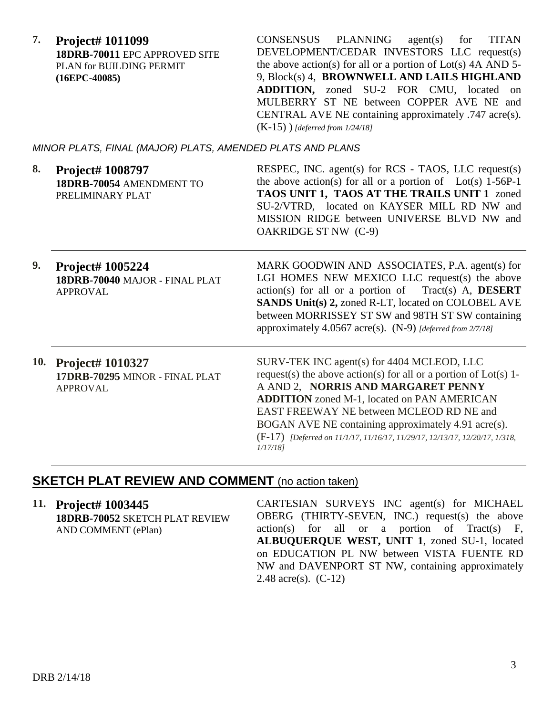**7. Project# 1011099 18DRB-70011** EPC APPROVED SITE PLAN for BUILDING PERMIT **(16EPC-40085)**

CONSENSUS PLANNING agent(s) for TITAN DEVELOPMENT/CEDAR INVESTORS LLC request(s) the above action(s) for all or a portion of  $Lot(s)$  4A AND 5-9, Block(s) 4, **BROWNWELL AND LAILS HIGHLAND ADDITION,** zoned SU-2 FOR CMU, located on MULBERRY ST NE between COPPER AVE NE and CENTRAL AVE NE containing approximately .747 acre(s). (K-15) ) *[deferred from 1/24/18]*

### *MINOR PLATS, FINAL (MAJOR) PLATS, AMENDED PLATS AND PLANS*

| 8. | <b>Project# 1008797</b><br>18DRB-70054 AMENDMENT TO<br>PRELIMINARY PLAT | RESPEC, INC. agent(s) for RCS - TAOS, LLC request(s)<br>the above action(s) for all or a portion of Lot(s) $1-56P-1$<br>TAOS UNIT 1, TAOS AT THE TRAILS UNIT 1 zoned<br>SU-2/VTRD, located on KAYSER MILL RD NW and<br>MISSION RIDGE between UNIVERSE BLVD NW and<br>OAKRIDGE ST NW (C-9) |
|----|-------------------------------------------------------------------------|-------------------------------------------------------------------------------------------------------------------------------------------------------------------------------------------------------------------------------------------------------------------------------------------|
| Q. |                                                                         | MARK GOODWIN AND ASSOCIATES R A scent(s) for                                                                                                                                                                                                                                              |

- **9. Project# 1005224 18DRB-70040** MAJOR - FINAL PLAT APPROVAL MARK GOODWIN AND ASSOCIATES, P.A. agent(s) for LGI HOMES NEW MEXICO LLC request(s) the above action(s) for all or a portion of Tract(s) A, **DESERT SANDS Unit(s) 2,** zoned R-LT, located on COLOBEL AVE between MORRISSEY ST SW and 98TH ST SW containing approximately 4.0567 acre(s). (N-9) *[deferred from 2/7/18]*
- **10. Project# 1010327 17DRB-70295** MINOR - FINAL PLAT APPROVAL SURV-TEK INC agent(s) for 4404 MCLEOD, LLC request(s) the above action(s) for all or a portion of  $Lot(s)$  1-A AND 2, **NORRIS AND MARGARET PENNY ADDITION** zoned M-1, located on PAN AMERICAN EAST FREEWAY NE between MCLEOD RD NE and BOGAN AVE NE containing approximately 4.91 acre(s). (F-17) *[Deferred on 11/1/17, 11/16/17, 11/29/17, 12/13/17, 12/20/17, 1/318, 1/17/18]*

# **SKETCH PLAT REVIEW AND COMMENT** (no action taken)

**11. Project# 1003445 18DRB-70052** SKETCH PLAT REVIEW AND COMMENT (ePlan) CARTESIAN SURVEYS INC agent(s) for MICHAEL OBERG (THIRTY-SEVEN, INC.) request(s) the above  $action(s)$  for all or a portion of Tract(s) F, **ALBUQUERQUE WEST, UNIT 1**, zoned SU-1, located on EDUCATION PL NW between VISTA FUENTE RD NW and DAVENPORT ST NW, containing approximately 2.48 acre(s). (C-12)